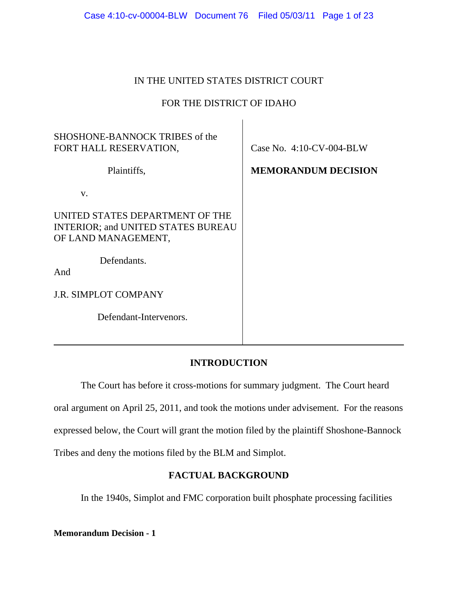| Case 4:10-cv-00004-BLW Document 76 Filed 05/03/11 Page 1 of 23 |  |  |  |
|----------------------------------------------------------------|--|--|--|
|----------------------------------------------------------------|--|--|--|

# IN THE UNITED STATES DISTRICT COURT

# FOR THE DISTRICT OF IDAHO

 $\mathbf{I}$ 

| SHOSHONE-BANNOCK TRIBES of the<br>FORT HALL RESERVATION,                                            | Case No. $4:10$ -CV-004-BLW |
|-----------------------------------------------------------------------------------------------------|-----------------------------|
| Plaintiffs,                                                                                         | <b>MEMORANDUM DECISION</b>  |
| $V_{\cdot}$                                                                                         |                             |
| UNITED STATES DEPARTMENT OF THE<br><b>INTERIOR; and UNITED STATES BUREAU</b><br>OF LAND MANAGEMENT, |                             |
| Defendants.<br>And                                                                                  |                             |
| <b>J.R. SIMPLOT COMPANY</b>                                                                         |                             |
| Defendant-Intervenors.                                                                              |                             |

# **INTRODUCTION**

The Court has before it cross-motions for summary judgment. The Court heard oral argument on April 25, 2011, and took the motions under advisement. For the reasons expressed below, the Court will grant the motion filed by the plaintiff Shoshone-Bannock Tribes and deny the motions filed by the BLM and Simplot.

# **FACTUAL BACKGROUND**

In the 1940s, Simplot and FMC corporation built phosphate processing facilities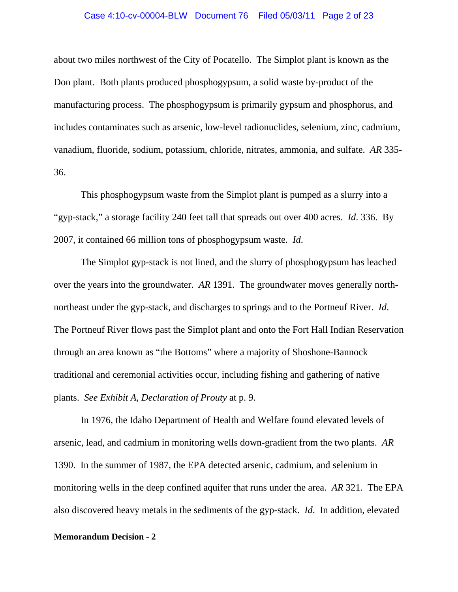# Case 4:10-cv-00004-BLW Document 76 Filed 05/03/11 Page 2 of 23

about two miles northwest of the City of Pocatello. The Simplot plant is known as the Don plant. Both plants produced phosphogypsum, a solid waste by-product of the manufacturing process. The phosphogypsum is primarily gypsum and phosphorus, and includes contaminates such as arsenic, low-level radionuclides, selenium, zinc, cadmium, vanadium, fluoride, sodium, potassium, chloride, nitrates, ammonia, and sulfate. *AR* 335- 36.

This phosphogypsum waste from the Simplot plant is pumped as a slurry into a "gyp-stack," a storage facility 240 feet tall that spreads out over 400 acres. *Id*. 336. By 2007, it contained 66 million tons of phosphogypsum waste. *Id*.

The Simplot gyp-stack is not lined, and the slurry of phosphogypsum has leached over the years into the groundwater. *AR* 1391. The groundwater moves generally northnortheast under the gyp-stack, and discharges to springs and to the Portneuf River. *Id*. The Portneuf River flows past the Simplot plant and onto the Fort Hall Indian Reservation through an area known as "the Bottoms" where a majority of Shoshone-Bannock traditional and ceremonial activities occur, including fishing and gathering of native plants. *See Exhibit A, Declaration of Prouty* at p. 9.

In 1976, the Idaho Department of Health and Welfare found elevated levels of arsenic, lead, and cadmium in monitoring wells down-gradient from the two plants. *AR* 1390. In the summer of 1987, the EPA detected arsenic, cadmium, and selenium in monitoring wells in the deep confined aquifer that runs under the area. *AR* 321. The EPA also discovered heavy metals in the sediments of the gyp-stack. *Id*. In addition, elevated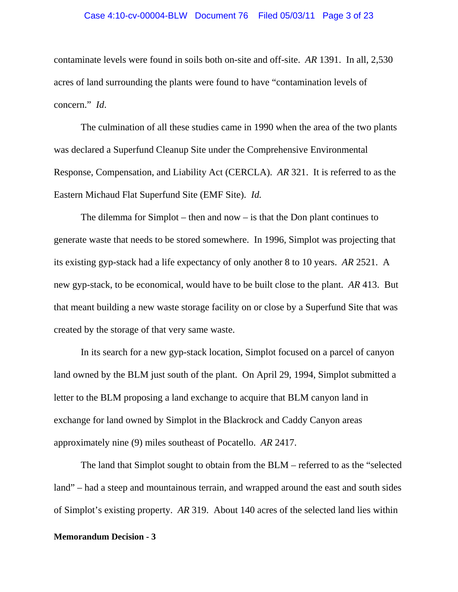### Case 4:10-cv-00004-BLW Document 76 Filed 05/03/11 Page 3 of 23

contaminate levels were found in soils both on-site and off-site. *AR* 1391. In all, 2,530 acres of land surrounding the plants were found to have "contamination levels of concern." *Id*.

The culmination of all these studies came in 1990 when the area of the two plants was declared a Superfund Cleanup Site under the Comprehensive Environmental Response, Compensation, and Liability Act (CERCLA). *AR* 321. It is referred to as the Eastern Michaud Flat Superfund Site (EMF Site). *Id.*

The dilemma for Simplot – then and now – is that the Don plant continues to generate waste that needs to be stored somewhere. In 1996, Simplot was projecting that its existing gyp-stack had a life expectancy of only another 8 to 10 years. *AR* 2521. A new gyp-stack, to be economical, would have to be built close to the plant. *AR* 413. But that meant building a new waste storage facility on or close by a Superfund Site that was created by the storage of that very same waste.

In its search for a new gyp-stack location, Simplot focused on a parcel of canyon land owned by the BLM just south of the plant. On April 29, 1994, Simplot submitted a letter to the BLM proposing a land exchange to acquire that BLM canyon land in exchange for land owned by Simplot in the Blackrock and Caddy Canyon areas approximately nine (9) miles southeast of Pocatello. *AR* 2417.

The land that Simplot sought to obtain from the BLM – referred to as the "selected land" – had a steep and mountainous terrain, and wrapped around the east and south sides of Simplot's existing property. *AR* 319. About 140 acres of the selected land lies within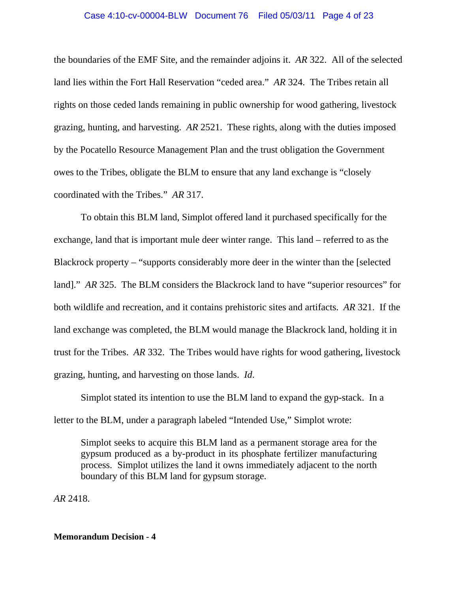### Case 4:10-cv-00004-BLW Document 76 Filed 05/03/11 Page 4 of 23

the boundaries of the EMF Site, and the remainder adjoins it. *AR* 322. All of the selected land lies within the Fort Hall Reservation "ceded area." *AR* 324. The Tribes retain all rights on those ceded lands remaining in public ownership for wood gathering, livestock grazing, hunting, and harvesting. *AR* 2521. These rights, along with the duties imposed by the Pocatello Resource Management Plan and the trust obligation the Government owes to the Tribes, obligate the BLM to ensure that any land exchange is "closely coordinated with the Tribes." *AR* 317.

To obtain this BLM land, Simplot offered land it purchased specifically for the exchange, land that is important mule deer winter range. This land – referred to as the Blackrock property – "supports considerably more deer in the winter than the [selected land]." *AR* 325. The BLM considers the Blackrock land to have "superior resources" for both wildlife and recreation, and it contains prehistoric sites and artifacts. *AR* 321. If the land exchange was completed, the BLM would manage the Blackrock land, holding it in trust for the Tribes. *AR* 332. The Tribes would have rights for wood gathering, livestock grazing, hunting, and harvesting on those lands. *Id*.

Simplot stated its intention to use the BLM land to expand the gyp-stack. In a letter to the BLM, under a paragraph labeled "Intended Use," Simplot wrote:

Simplot seeks to acquire this BLM land as a permanent storage area for the gypsum produced as a by-product in its phosphate fertilizer manufacturing process. Simplot utilizes the land it owns immediately adjacent to the north boundary of this BLM land for gypsum storage.

*AR* 2418.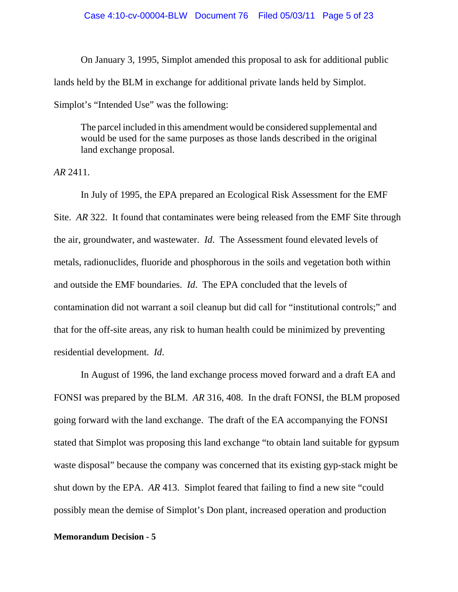On January 3, 1995, Simplot amended this proposal to ask for additional public lands held by the BLM in exchange for additional private lands held by Simplot. Simplot's "Intended Use" was the following:

The parcel included in this amendment would be considered supplemental and would be used for the same purposes as those lands described in the original land exchange proposal.

*AR* 2411.

In July of 1995, the EPA prepared an Ecological Risk Assessment for the EMF Site. *AR* 322. It found that contaminates were being released from the EMF Site through the air, groundwater, and wastewater. *Id*. The Assessment found elevated levels of metals, radionuclides, fluoride and phosphorous in the soils and vegetation both within and outside the EMF boundaries. *Id*. The EPA concluded that the levels of contamination did not warrant a soil cleanup but did call for "institutional controls;" and that for the off-site areas, any risk to human health could be minimized by preventing residential development. *Id*.

In August of 1996, the land exchange process moved forward and a draft EA and FONSI was prepared by the BLM. *AR* 316, 408. In the draft FONSI, the BLM proposed going forward with the land exchange. The draft of the EA accompanying the FONSI stated that Simplot was proposing this land exchange "to obtain land suitable for gypsum waste disposal" because the company was concerned that its existing gyp-stack might be shut down by the EPA. *AR* 413. Simplot feared that failing to find a new site "could possibly mean the demise of Simplot's Don plant, increased operation and production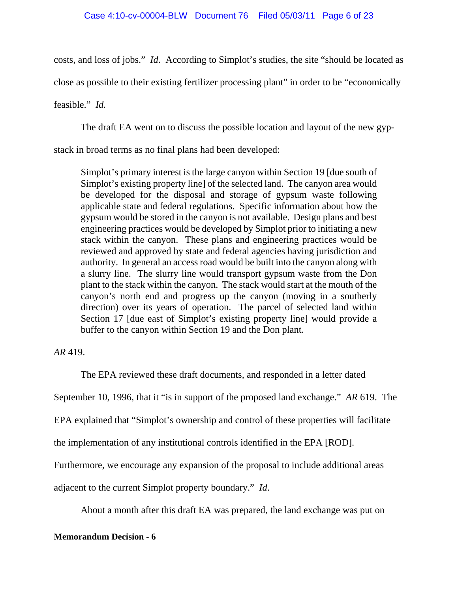costs, and loss of jobs." *Id*. According to Simplot's studies, the site "should be located as

close as possible to their existing fertilizer processing plant" in order to be "economically

feasible." *Id.* 

The draft EA went on to discuss the possible location and layout of the new gyp-

stack in broad terms as no final plans had been developed:

Simplot's primary interest is the large canyon within Section 19 [due south of Simplot's existing property line] of the selected land. The canyon area would be developed for the disposal and storage of gypsum waste following applicable state and federal regulations. Specific information about how the gypsum would be stored in the canyon is not available. Design plans and best engineering practices would be developed by Simplot prior to initiating a new stack within the canyon. These plans and engineering practices would be reviewed and approved by state and federal agencies having jurisdiction and authority. In general an access road would be built into the canyon along with a slurry line. The slurry line would transport gypsum waste from the Don plant to the stack within the canyon. The stack would start at the mouth of the canyon's north end and progress up the canyon (moving in a southerly direction) over its years of operation. The parcel of selected land within Section 17 [due east of Simplot's existing property line] would provide a buffer to the canyon within Section 19 and the Don plant.

# *AR* 419.

The EPA reviewed these draft documents, and responded in a letter dated

September 10, 1996, that it "is in support of the proposed land exchange." *AR* 619. The

EPA explained that "Simplot's ownership and control of these properties will facilitate

the implementation of any institutional controls identified in the EPA [ROD].

Furthermore, we encourage any expansion of the proposal to include additional areas

adjacent to the current Simplot property boundary." *Id*.

About a month after this draft EA was prepared, the land exchange was put on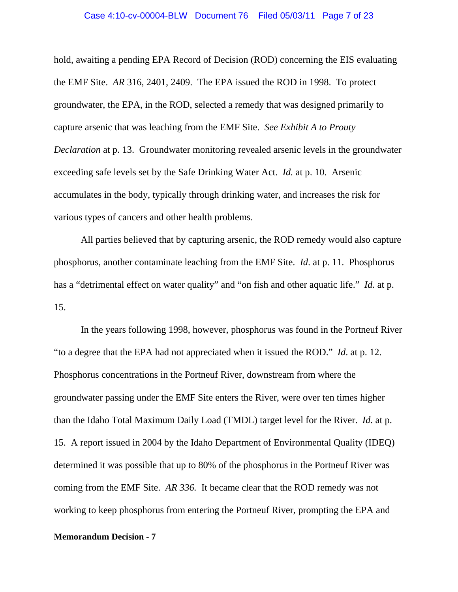### Case 4:10-cv-00004-BLW Document 76 Filed 05/03/11 Page 7 of 23

hold, awaiting a pending EPA Record of Decision (ROD) concerning the EIS evaluating the EMF Site. *AR* 316, 2401, 2409. The EPA issued the ROD in 1998. To protect groundwater, the EPA, in the ROD, selected a remedy that was designed primarily to capture arsenic that was leaching from the EMF Site. *See Exhibit A to Prouty Declaration* at p. 13. Groundwater monitoring revealed arsenic levels in the groundwater exceeding safe levels set by the Safe Drinking Water Act. *Id.* at p. 10. Arsenic accumulates in the body, typically through drinking water, and increases the risk for various types of cancers and other health problems.

All parties believed that by capturing arsenic, the ROD remedy would also capture phosphorus, another contaminate leaching from the EMF Site. *Id*. at p. 11. Phosphorus has a "detrimental effect on water quality" and "on fish and other aquatic life." *Id*. at p. 15.

In the years following 1998, however, phosphorus was found in the Portneuf River "to a degree that the EPA had not appreciated when it issued the ROD." *Id*. at p. 12. Phosphorus concentrations in the Portneuf River, downstream from where the groundwater passing under the EMF Site enters the River, were over ten times higher than the Idaho Total Maximum Daily Load (TMDL) target level for the River. *Id*. at p. 15. A report issued in 2004 by the Idaho Department of Environmental Quality (IDEQ) determined it was possible that up to 80% of the phosphorus in the Portneuf River was coming from the EMF Site. *AR 336.* It became clear that the ROD remedy was not working to keep phosphorus from entering the Portneuf River, prompting the EPA and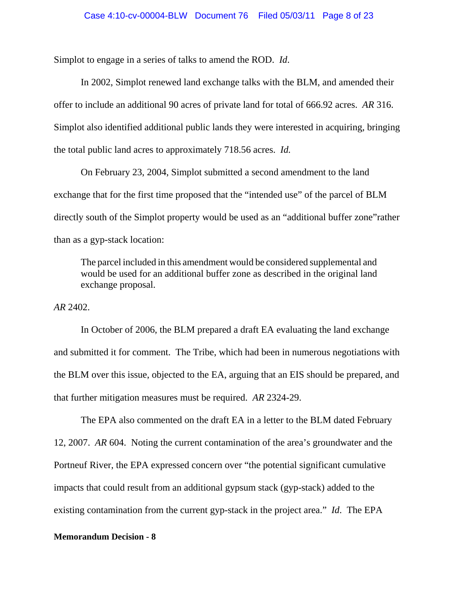Simplot to engage in a series of talks to amend the ROD. *Id*.

In 2002, Simplot renewed land exchange talks with the BLM, and amended their offer to include an additional 90 acres of private land for total of 666.92 acres. *AR* 316. Simplot also identified additional public lands they were interested in acquiring, bringing the total public land acres to approximately 718.56 acres. *Id.*

On February 23, 2004, Simplot submitted a second amendment to the land exchange that for the first time proposed that the "intended use" of the parcel of BLM directly south of the Simplot property would be used as an "additional buffer zone"rather than as a gyp-stack location:

The parcel included in this amendment would be considered supplemental and would be used for an additional buffer zone as described in the original land exchange proposal.

*AR* 2402.

In October of 2006, the BLM prepared a draft EA evaluating the land exchange and submitted it for comment. The Tribe, which had been in numerous negotiations with the BLM over this issue, objected to the EA, arguing that an EIS should be prepared, and that further mitigation measures must be required. *AR* 2324-29.

The EPA also commented on the draft EA in a letter to the BLM dated February 12, 2007. *AR* 604. Noting the current contamination of the area's groundwater and the Portneuf River, the EPA expressed concern over "the potential significant cumulative impacts that could result from an additional gypsum stack (gyp-stack) added to the existing contamination from the current gyp-stack in the project area." *Id*. The EPA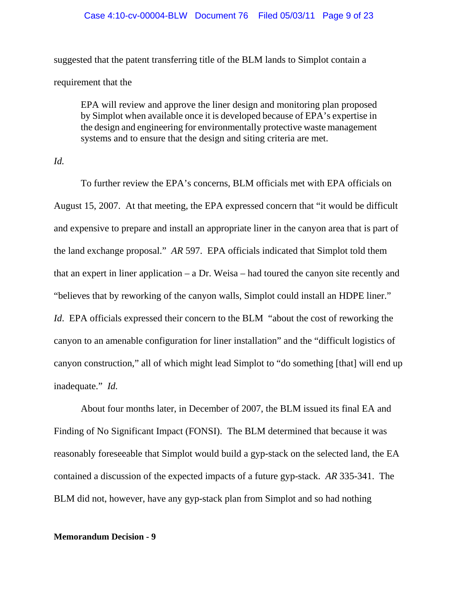### Case 4:10-cv-00004-BLW Document 76 Filed 05/03/11 Page 9 of 23

suggested that the patent transferring title of the BLM lands to Simplot contain a requirement that the

EPA will review and approve the liner design and monitoring plan proposed by Simplot when available once it is developed because of EPA's expertise in the design and engineering for environmentally protective waste management systems and to ensure that the design and siting criteria are met.

# *Id.*

To further review the EPA's concerns, BLM officials met with EPA officials on August 15, 2007. At that meeting, the EPA expressed concern that "it would be difficult and expensive to prepare and install an appropriate liner in the canyon area that is part of the land exchange proposal." *AR* 597. EPA officials indicated that Simplot told them that an expert in liner application – a Dr. Weisa – had toured the canyon site recently and "believes that by reworking of the canyon walls, Simplot could install an HDPE liner." *Id.* EPA officials expressed their concern to the BLM "about the cost of reworking the canyon to an amenable configuration for liner installation" and the "difficult logistics of canyon construction," all of which might lead Simplot to "do something [that] will end up inadequate." *Id.*

About four months later, in December of 2007, the BLM issued its final EA and Finding of No Significant Impact (FONSI). The BLM determined that because it was reasonably foreseeable that Simplot would build a gyp-stack on the selected land, the EA contained a discussion of the expected impacts of a future gyp-stack. *AR* 335-341. The BLM did not, however, have any gyp-stack plan from Simplot and so had nothing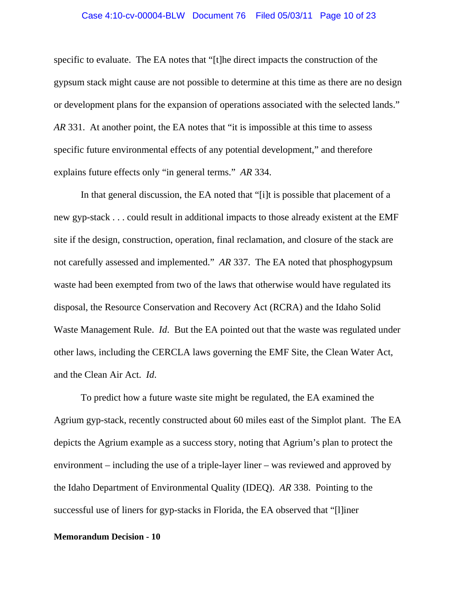### Case 4:10-cv-00004-BLW Document 76 Filed 05/03/11 Page 10 of 23

specific to evaluate. The EA notes that "[t]he direct impacts the construction of the gypsum stack might cause are not possible to determine at this time as there are no design or development plans for the expansion of operations associated with the selected lands." *AR* 331. At another point, the EA notes that "it is impossible at this time to assess specific future environmental effects of any potential development," and therefore explains future effects only "in general terms." *AR* 334.

In that general discussion, the EA noted that "[i]t is possible that placement of a new gyp-stack . . . could result in additional impacts to those already existent at the EMF site if the design, construction, operation, final reclamation, and closure of the stack are not carefully assessed and implemented." *AR* 337. The EA noted that phosphogypsum waste had been exempted from two of the laws that otherwise would have regulated its disposal, the Resource Conservation and Recovery Act (RCRA) and the Idaho Solid Waste Management Rule. *Id*. But the EA pointed out that the waste was regulated under other laws, including the CERCLA laws governing the EMF Site, the Clean Water Act, and the Clean Air Act. *Id*.

To predict how a future waste site might be regulated, the EA examined the Agrium gyp-stack, recently constructed about 60 miles east of the Simplot plant. The EA depicts the Agrium example as a success story, noting that Agrium's plan to protect the environment – including the use of a triple-layer liner – was reviewed and approved by the Idaho Department of Environmental Quality (IDEQ). *AR* 338. Pointing to the successful use of liners for gyp-stacks in Florida, the EA observed that "[l]iner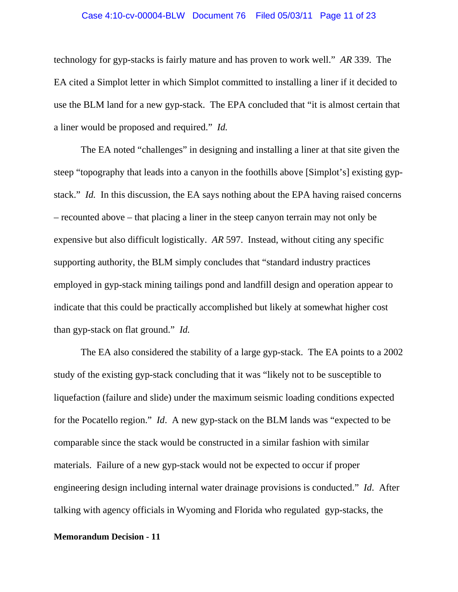### Case 4:10-cv-00004-BLW Document 76 Filed 05/03/11 Page 11 of 23

technology for gyp-stacks is fairly mature and has proven to work well." *AR* 339. The EA cited a Simplot letter in which Simplot committed to installing a liner if it decided to use the BLM land for a new gyp-stack. The EPA concluded that "it is almost certain that a liner would be proposed and required." *Id.* 

The EA noted "challenges" in designing and installing a liner at that site given the steep "topography that leads into a canyon in the foothills above [Simplot's] existing gypstack." *Id.* In this discussion, the EA says nothing about the EPA having raised concerns – recounted above – that placing a liner in the steep canyon terrain may not only be expensive but also difficult logistically. *AR* 597. Instead, without citing any specific supporting authority, the BLM simply concludes that "standard industry practices employed in gyp-stack mining tailings pond and landfill design and operation appear to indicate that this could be practically accomplished but likely at somewhat higher cost than gyp-stack on flat ground." *Id.*

The EA also considered the stability of a large gyp-stack. The EA points to a 2002 study of the existing gyp-stack concluding that it was "likely not to be susceptible to liquefaction (failure and slide) under the maximum seismic loading conditions expected for the Pocatello region." *Id*. A new gyp-stack on the BLM lands was "expected to be comparable since the stack would be constructed in a similar fashion with similar materials. Failure of a new gyp-stack would not be expected to occur if proper engineering design including internal water drainage provisions is conducted." *Id*. After talking with agency officials in Wyoming and Florida who regulated gyp-stacks, the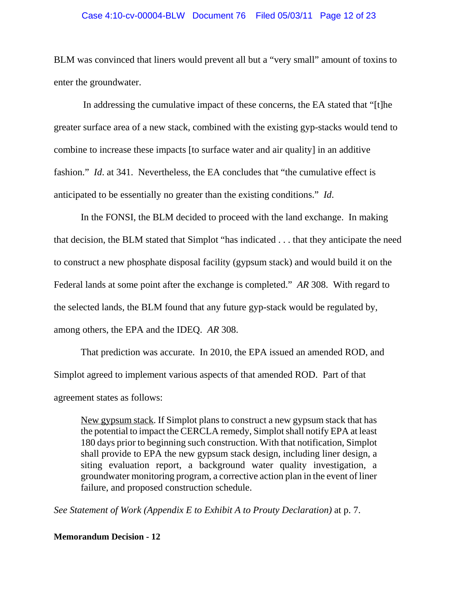## Case 4:10-cv-00004-BLW Document 76 Filed 05/03/11 Page 12 of 23

BLM was convinced that liners would prevent all but a "very small" amount of toxins to enter the groundwater.

 In addressing the cumulative impact of these concerns, the EA stated that "[t]he greater surface area of a new stack, combined with the existing gyp-stacks would tend to combine to increase these impacts [to surface water and air quality] in an additive fashion." *Id*. at 341. Nevertheless, the EA concludes that "the cumulative effect is anticipated to be essentially no greater than the existing conditions." *Id*.

In the FONSI, the BLM decided to proceed with the land exchange. In making that decision, the BLM stated that Simplot "has indicated . . . that they anticipate the need to construct a new phosphate disposal facility (gypsum stack) and would build it on the Federal lands at some point after the exchange is completed." *AR* 308. With regard to the selected lands, the BLM found that any future gyp-stack would be regulated by, among others, the EPA and the IDEQ. *AR* 308.

That prediction was accurate. In 2010, the EPA issued an amended ROD, and Simplot agreed to implement various aspects of that amended ROD. Part of that agreement states as follows:

New gypsum stack. If Simplot plans to construct a new gypsum stack that has the potential to impact the CERCLA remedy, Simplot shall notify EPA at least 180 days prior to beginning such construction. With that notification, Simplot shall provide to EPA the new gypsum stack design, including liner design, a siting evaluation report, a background water quality investigation, a groundwater monitoring program, a corrective action plan in the event of liner failure, and proposed construction schedule.

*See Statement of Work (Appendix E to Exhibit A to Prouty Declaration)* at p. 7.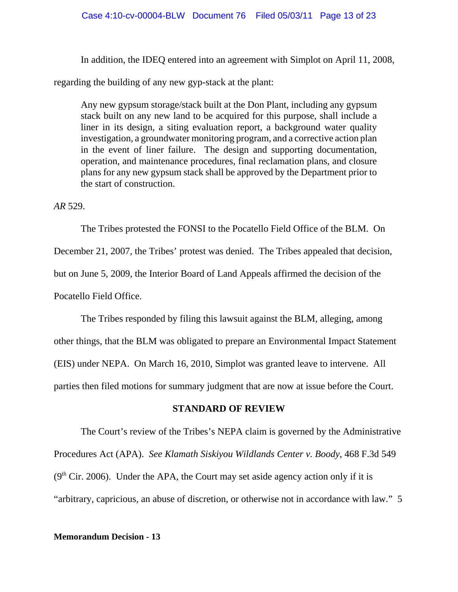In addition, the IDEQ entered into an agreement with Simplot on April 11, 2008,

regarding the building of any new gyp-stack at the plant:

Any new gypsum storage/stack built at the Don Plant, including any gypsum stack built on any new land to be acquired for this purpose, shall include a liner in its design, a siting evaluation report, a background water quality investigation, a groundwater monitoring program, and a corrective action plan in the event of liner failure. The design and supporting documentation, operation, and maintenance procedures, final reclamation plans, and closure plans for any new gypsum stack shall be approved by the Department prior to the start of construction.

# *AR* 529.

The Tribes protested the FONSI to the Pocatello Field Office of the BLM. On December 21, 2007, the Tribes' protest was denied. The Tribes appealed that decision, but on June 5, 2009, the Interior Board of Land Appeals affirmed the decision of the Pocatello Field Office.

The Tribes responded by filing this lawsuit against the BLM, alleging, among other things, that the BLM was obligated to prepare an Environmental Impact Statement (EIS) under NEPA. On March 16, 2010, Simplot was granted leave to intervene. All parties then filed motions for summary judgment that are now at issue before the Court.

# **STANDARD OF REVIEW**

The Court's review of the Tribes's NEPA claim is governed by the Administrative Procedures Act (APA). *See Klamath Siskiyou Wildlands Center v. Boody*, 468 F.3d 549  $(9<sup>th</sup> Cir. 2006)$ . Under the APA, the Court may set aside agency action only if it is "arbitrary, capricious, an abuse of discretion, or otherwise not in accordance with law." 5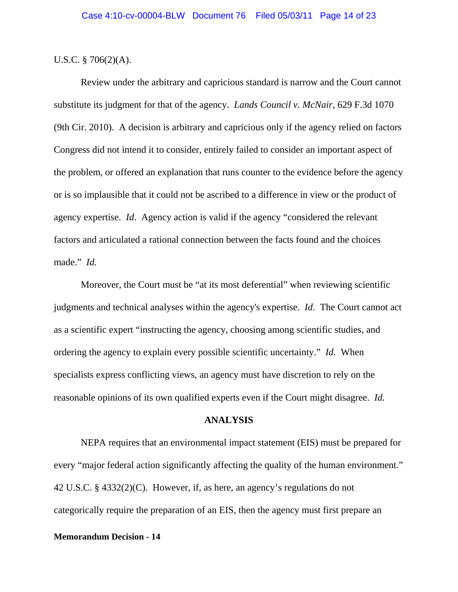U.S.C. § 706(2)(A).

Review under the arbitrary and capricious standard is narrow and the Court cannot substitute its judgment for that of the agency. *Lands Council v. McNair*, 629 F.3d 1070 (9th Cir. 2010). A decision is arbitrary and capricious only if the agency relied on factors Congress did not intend it to consider, entirely failed to consider an important aspect of the problem, or offered an explanation that runs counter to the evidence before the agency or is so implausible that it could not be ascribed to a difference in view or the product of agency expertise. *Id*. Agency action is valid if the agency "considered the relevant factors and articulated a rational connection between the facts found and the choices made." *Id.*

Moreover, the Court must be "at its most deferential" when reviewing scientific judgments and technical analyses within the agency's expertise. *Id*. The Court cannot act as a scientific expert "instructing the agency, choosing among scientific studies, and ordering the agency to explain every possible scientific uncertainty." *Id.* When specialists express conflicting views, an agency must have discretion to rely on the reasonable opinions of its own qualified experts even if the Court might disagree. *Id.*

## **ANALYSIS**

NEPA requires that an environmental impact statement (EIS) must be prepared for every "major federal action significantly affecting the quality of the human environment." 42 U.S.C. § 4332(2)(C). However, if, as here, an agency's regulations do not categorically require the preparation of an EIS, then the agency must first prepare an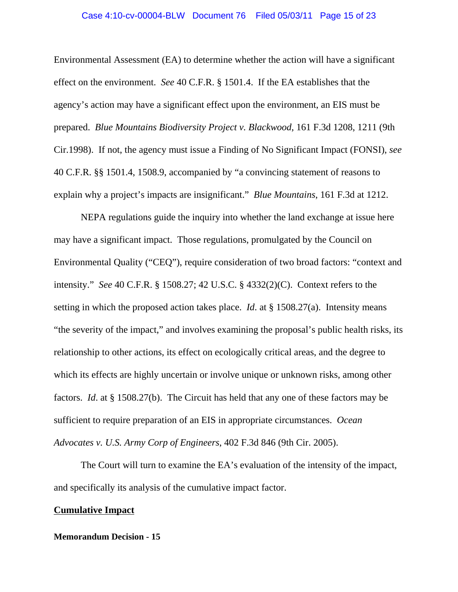### Case 4:10-cv-00004-BLW Document 76 Filed 05/03/11 Page 15 of 23

Environmental Assessment (EA) to determine whether the action will have a significant effect on the environment. *See* 40 C.F.R. § 1501.4. If the EA establishes that the agency's action may have a significant effect upon the environment, an EIS must be prepared. *Blue Mountains Biodiversity Project v. Blackwood*, 161 F.3d 1208, 1211 (9th Cir.1998). If not, the agency must issue a Finding of No Significant Impact (FONSI), *see* 40 C.F.R. §§ 1501.4, 1508.9, accompanied by "a convincing statement of reasons to explain why a project's impacts are insignificant." *Blue Mountains*, 161 F.3d at 1212.

NEPA regulations guide the inquiry into whether the land exchange at issue here may have a significant impact. Those regulations, promulgated by the Council on Environmental Quality ("CEQ"), require consideration of two broad factors: "context and intensity." *See* 40 C.F.R. § 1508.27; 42 U.S.C. § 4332(2)(C). Context refers to the setting in which the proposed action takes place. *Id*. at § 1508.27(a). Intensity means "the severity of the impact," and involves examining the proposal's public health risks, its relationship to other actions, its effect on ecologically critical areas, and the degree to which its effects are highly uncertain or involve unique or unknown risks, among other factors. *Id*. at § 1508.27(b). The Circuit has held that any one of these factors may be sufficient to require preparation of an EIS in appropriate circumstances. *Ocean Advocates v. U.S. Army Corp of Engineers*, 402 F.3d 846 (9th Cir. 2005).

The Court will turn to examine the EA's evaluation of the intensity of the impact, and specifically its analysis of the cumulative impact factor.

# **Cumulative Impact**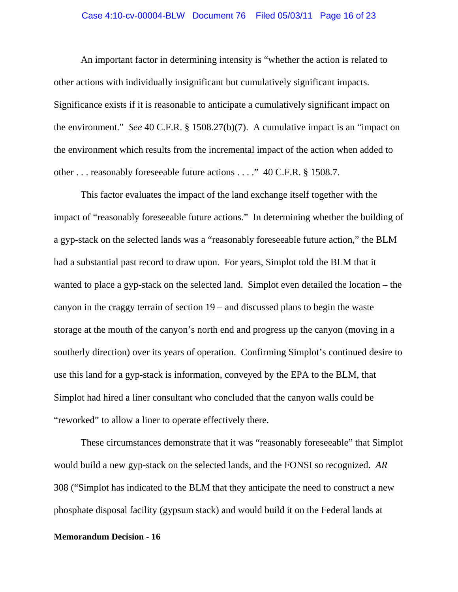### Case 4:10-cv-00004-BLW Document 76 Filed 05/03/11 Page 16 of 23

An important factor in determining intensity is "whether the action is related to other actions with individually insignificant but cumulatively significant impacts. Significance exists if it is reasonable to anticipate a cumulatively significant impact on the environment." *See* 40 C.F.R. § 1508.27(b)(7). A cumulative impact is an "impact on the environment which results from the incremental impact of the action when added to other . . . reasonably foreseeable future actions . . . ." 40 C.F.R. § 1508.7.

This factor evaluates the impact of the land exchange itself together with the impact of "reasonably foreseeable future actions." In determining whether the building of a gyp-stack on the selected lands was a "reasonably foreseeable future action," the BLM had a substantial past record to draw upon. For years, Simplot told the BLM that it wanted to place a gyp-stack on the selected land. Simplot even detailed the location – the canyon in the craggy terrain of section 19 – and discussed plans to begin the waste storage at the mouth of the canyon's north end and progress up the canyon (moving in a southerly direction) over its years of operation. Confirming Simplot's continued desire to use this land for a gyp-stack is information, conveyed by the EPA to the BLM, that Simplot had hired a liner consultant who concluded that the canyon walls could be "reworked" to allow a liner to operate effectively there.

These circumstances demonstrate that it was "reasonably foreseeable" that Simplot would build a new gyp-stack on the selected lands, and the FONSI so recognized. *AR* 308 ("Simplot has indicated to the BLM that they anticipate the need to construct a new phosphate disposal facility (gypsum stack) and would build it on the Federal lands at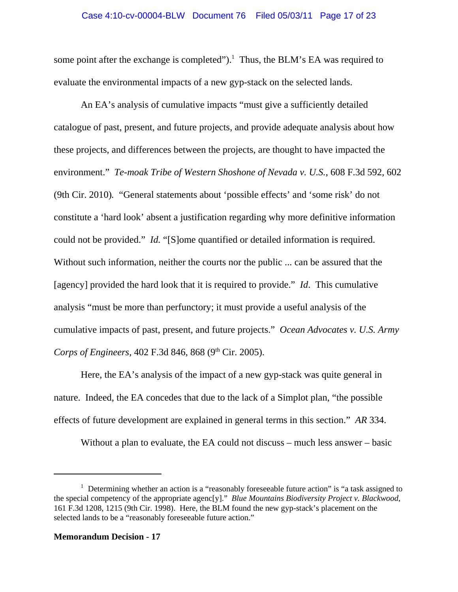some point after the exchange is completed"). $<sup>1</sup>$  Thus, the BLM's EA was required to</sup> evaluate the environmental impacts of a new gyp-stack on the selected lands.

An EA's analysis of cumulative impacts "must give a sufficiently detailed catalogue of past, present, and future projects, and provide adequate analysis about how these projects, and differences between the projects, are thought to have impacted the environment." *Te-moak Tribe of Western Shoshone of Nevada v. U.S.*, 608 F.3d 592, 602 (9th Cir. 2010)*.* "General statements about 'possible effects' and 'some risk' do not constitute a 'hard look' absent a justification regarding why more definitive information could not be provided." *Id.* "[S]ome quantified or detailed information is required. Without such information, neither the courts nor the public ... can be assured that the [agency] provided the hard look that it is required to provide." *Id*. This cumulative analysis "must be more than perfunctory; it must provide a useful analysis of the cumulative impacts of past, present, and future projects." *Ocean Advocates v. U.S. Army Corps of Engineers*, 402 F.3d 846, 868 (9<sup>th</sup> Cir. 2005).

Here, the EA's analysis of the impact of a new gyp-stack was quite general in nature. Indeed, the EA concedes that due to the lack of a Simplot plan, "the possible effects of future development are explained in general terms in this section." *AR* 334.

Without a plan to evaluate, the EA could not discuss – much less answer – basic

<sup>&</sup>lt;sup>1</sup> Determining whether an action is a "reasonably foreseeable future action" is "a task assigned to the special competency of the appropriate agenc[y]." *Blue Mountains Biodiversity Project v. Blackwood*, 161 F.3d 1208, 1215 (9th Cir. 1998). Here, the BLM found the new gyp-stack's placement on the selected lands to be a "reasonably foreseeable future action."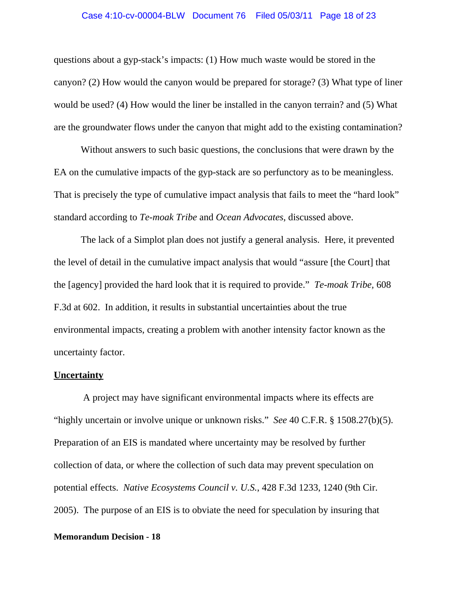### Case 4:10-cv-00004-BLW Document 76 Filed 05/03/11 Page 18 of 23

questions about a gyp-stack's impacts: (1) How much waste would be stored in the canyon? (2) How would the canyon would be prepared for storage? (3) What type of liner would be used? (4) How would the liner be installed in the canyon terrain? and (5) What are the groundwater flows under the canyon that might add to the existing contamination?

Without answers to such basic questions, the conclusions that were drawn by the EA on the cumulative impacts of the gyp-stack are so perfunctory as to be meaningless. That is precisely the type of cumulative impact analysis that fails to meet the "hard look" standard according to *Te-moak Tribe* and *Ocean Advocates*, discussed above.

The lack of a Simplot plan does not justify a general analysis. Here, it prevented the level of detail in the cumulative impact analysis that would "assure [the Court] that the [agency] provided the hard look that it is required to provide." *Te-moak Tribe,* 608 F.3d at 602. In addition, it results in substantial uncertainties about the true environmental impacts, creating a problem with another intensity factor known as the uncertainty factor.

## **Uncertainty**

 A project may have significant environmental impacts where its effects are "highly uncertain or involve unique or unknown risks." *See* 40 C.F.R. § 1508.27(b)(5). Preparation of an EIS is mandated where uncertainty may be resolved by further collection of data, or where the collection of such data may prevent speculation on potential effects. *Native Ecosystems Council v. U.S.*, 428 F.3d 1233, 1240 (9th Cir. 2005). The purpose of an EIS is to obviate the need for speculation by insuring that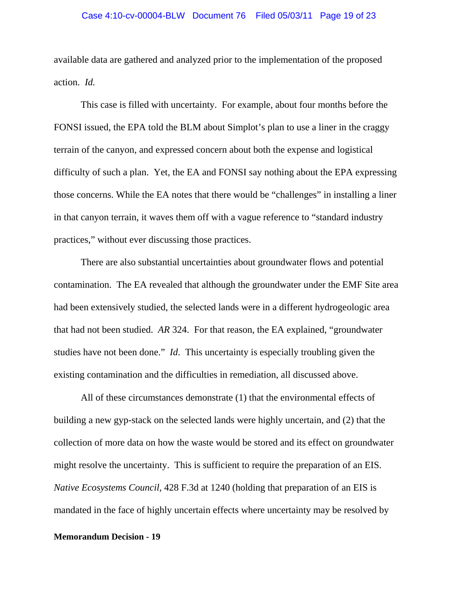### Case 4:10-cv-00004-BLW Document 76 Filed 05/03/11 Page 19 of 23

available data are gathered and analyzed prior to the implementation of the proposed action. *Id.*

This case is filled with uncertainty. For example, about four months before the FONSI issued, the EPA told the BLM about Simplot's plan to use a liner in the craggy terrain of the canyon, and expressed concern about both the expense and logistical difficulty of such a plan. Yet, the EA and FONSI say nothing about the EPA expressing those concerns. While the EA notes that there would be "challenges" in installing a liner in that canyon terrain, it waves them off with a vague reference to "standard industry practices," without ever discussing those practices.

There are also substantial uncertainties about groundwater flows and potential contamination. The EA revealed that although the groundwater under the EMF Site area had been extensively studied, the selected lands were in a different hydrogeologic area that had not been studied. *AR* 324. For that reason, the EA explained, "groundwater studies have not been done." *Id*. This uncertainty is especially troubling given the existing contamination and the difficulties in remediation, all discussed above.

All of these circumstances demonstrate (1) that the environmental effects of building a new gyp-stack on the selected lands were highly uncertain, and (2) that the collection of more data on how the waste would be stored and its effect on groundwater might resolve the uncertainty. This is sufficient to require the preparation of an EIS. *Native Ecosystems Council,* 428 F.3d at 1240 (holding that preparation of an EIS is mandated in the face of highly uncertain effects where uncertainty may be resolved by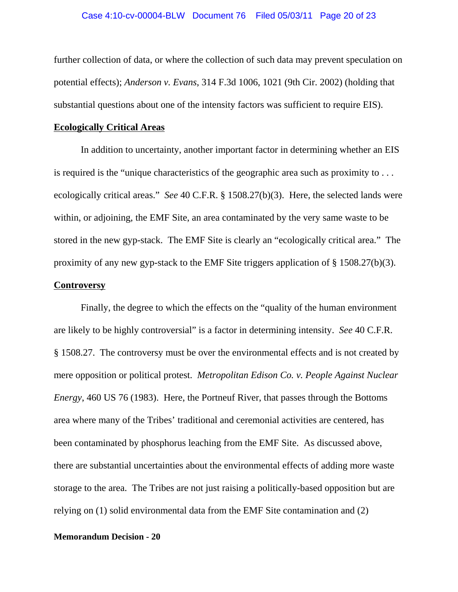further collection of data, or where the collection of such data may prevent speculation on potential effects); *Anderson v. Evans*, 314 F.3d 1006, 1021 (9th Cir. 2002) (holding that substantial questions about one of the intensity factors was sufficient to require EIS).

## **Ecologically Critical Areas**

In addition to uncertainty, another important factor in determining whether an EIS is required is the "unique characteristics of the geographic area such as proximity to . . . ecologically critical areas." *See* 40 C.F.R. § 1508.27(b)(3). Here, the selected lands were within, or adjoining, the EMF Site, an area contaminated by the very same waste to be stored in the new gyp-stack. The EMF Site is clearly an "ecologically critical area." The proximity of any new gyp-stack to the EMF Site triggers application of § 1508.27(b)(3).

# **Controversy**

Finally, the degree to which the effects on the "quality of the human environment are likely to be highly controversial" is a factor in determining intensity. *See* 40 C.F.R. § 1508.27. The controversy must be over the environmental effects and is not created by mere opposition or political protest. *Metropolitan Edison Co. v. People Against Nuclear Energy*, 460 US 76 (1983). Here, the Portneuf River, that passes through the Bottoms area where many of the Tribes' traditional and ceremonial activities are centered, has been contaminated by phosphorus leaching from the EMF Site. As discussed above, there are substantial uncertainties about the environmental effects of adding more waste storage to the area. The Tribes are not just raising a politically-based opposition but are relying on (1) solid environmental data from the EMF Site contamination and (2)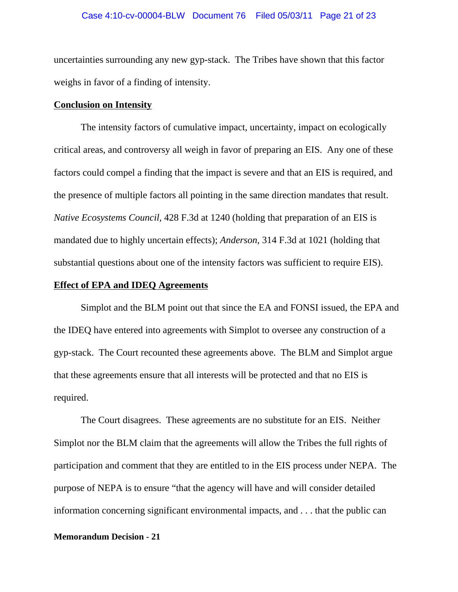uncertainties surrounding any new gyp-stack. The Tribes have shown that this factor weighs in favor of a finding of intensity.

## **Conclusion on Intensity**

The intensity factors of cumulative impact, uncertainty, impact on ecologically critical areas, and controversy all weigh in favor of preparing an EIS. Any one of these factors could compel a finding that the impact is severe and that an EIS is required, and the presence of multiple factors all pointing in the same direction mandates that result. *Native Ecosystems Council,* 428 F.3d at 1240 (holding that preparation of an EIS is mandated due to highly uncertain effects); *Anderson,* 314 F.3d at 1021 (holding that substantial questions about one of the intensity factors was sufficient to require EIS).

## **Effect of EPA and IDEQ Agreements**

Simplot and the BLM point out that since the EA and FONSI issued, the EPA and the IDEQ have entered into agreements with Simplot to oversee any construction of a gyp-stack. The Court recounted these agreements above. The BLM and Simplot argue that these agreements ensure that all interests will be protected and that no EIS is required.

The Court disagrees. These agreements are no substitute for an EIS. Neither Simplot nor the BLM claim that the agreements will allow the Tribes the full rights of participation and comment that they are entitled to in the EIS process under NEPA. The purpose of NEPA is to ensure "that the agency will have and will consider detailed information concerning significant environmental impacts, and . . . that the public can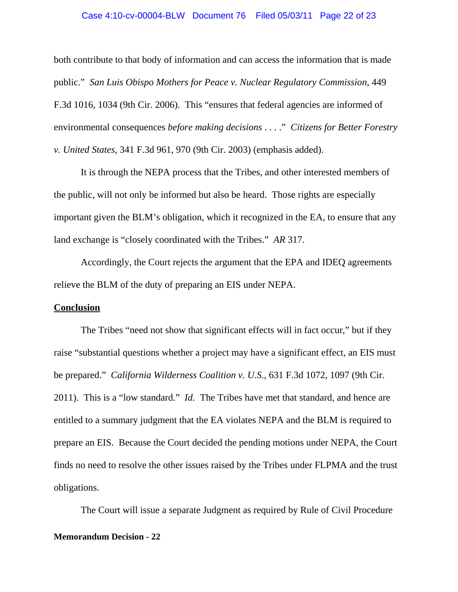### Case 4:10-cv-00004-BLW Document 76 Filed 05/03/11 Page 22 of 23

both contribute to that body of information and can access the information that is made public." *San Luis Obispo Mothers for Peace v. Nuclear Regulatory Commission*, 449 F.3d 1016, 1034 (9th Cir. 2006). This "ensures that federal agencies are informed of environmental consequences *before making decisions* . . . ." *Citizens for Better Forestry v. United States*, 341 F.3d 961, 970 (9th Cir. 2003) (emphasis added).

It is through the NEPA process that the Tribes, and other interested members of the public, will not only be informed but also be heard. Those rights are especially important given the BLM's obligation, which it recognized in the EA, to ensure that any land exchange is "closely coordinated with the Tribes." *AR* 317.

Accordingly, the Court rejects the argument that the EPA and IDEQ agreements relieve the BLM of the duty of preparing an EIS under NEPA.

### **Conclusion**

The Tribes "need not show that significant effects will in fact occur," but if they raise "substantial questions whether a project may have a significant effect, an EIS must be prepared." *California Wilderness Coalition v. U.S.*, 631 F.3d 1072, 1097 (9th Cir. 2011). This is a "low standard." *Id.* The Tribes have met that standard, and hence are entitled to a summary judgment that the EA violates NEPA and the BLM is required to prepare an EIS. Because the Court decided the pending motions under NEPA, the Court finds no need to resolve the other issues raised by the Tribes under FLPMA and the trust obligations.

The Court will issue a separate Judgment as required by Rule of Civil Procedure **Memorandum Decision - 22**